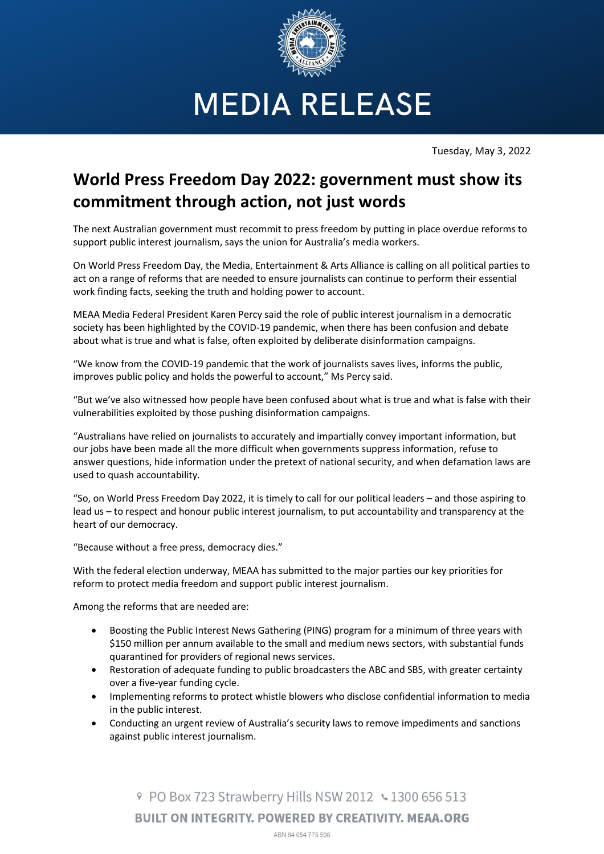

**MEDIA RELEASE** 

Tuesday, May 3, 2022

## **World Press Freedom Day 2022: government must show its commitment through action, not just words**

The next Australian government must recommit to press freedom by putting in place overdue reforms to support public interest journalism, says the union for Australia's media workers.

On World Press Freedom Day, the Media, Entertainment & Arts Alliance is calling on all political parties to act on a range of reforms that are needed to ensure journalists can continue to perform their essential work finding facts, seeking the truth and holding power to account.

MEAA Media Federal President Karen Percy said the role of public interest journalism in a democratic society has been highlighted by the COVID-19 pandemic, when there has been confusion and debate about what is true and what is false, often exploited by deliberate disinformation campaigns.

"We know from the COVID-19 pandemic that the work of journalists saves lives, informs the public, improves public policy and holds the powerful to account," Ms Percy said.

"But we've also witnessed how people have been confused about what is true and what is false with their vulnerabilities exploited by those pushing disinformation campaigns.

"Australians have relied on journalists to accurately and impartially convey important information, but our jobs have been made all the more difficult when governments suppress information, refuse to answer questions, hide information under the pretext of national security, and when defamation laws are used to quash accountability.

"So, on World Press Freedom Day 2022, it is timely to call for our political leaders – and those aspiring to lead us – to respect and honour public interest journalism, to put accountability and transparency at the heart of our democracy.

"Because without a free press, democracy dies."

With the federal election underway, MEAA has submitted to the major parties our key priorities for reform to protect media freedom and support public interest journalism.

Among the reforms that are needed are:

- Boosting the Public Interest News Gathering (PING) program for a minimum of three years with \$150 million per annum available to the small and medium news sectors, with substantial funds quarantined for providers of regional news services.
- Restoration of adequate funding to public broadcasters the ABC and SBS, with greater certainty over a five-year funding cycle.
- Implementing reforms to protect whistle blowers who disclose confidential information to media in the public interest.
- Conducting an urgent review of Australia's security laws to remove impediments and sanctions against public interest journalism.

© PO Box 723 Strawberry Hills NSW 2012 ↓ 1300 656 513 **BUILT ON INTEGRITY. POWERED BY CREATIVITY. MEAA.ORG** ABN 84 054 775 598